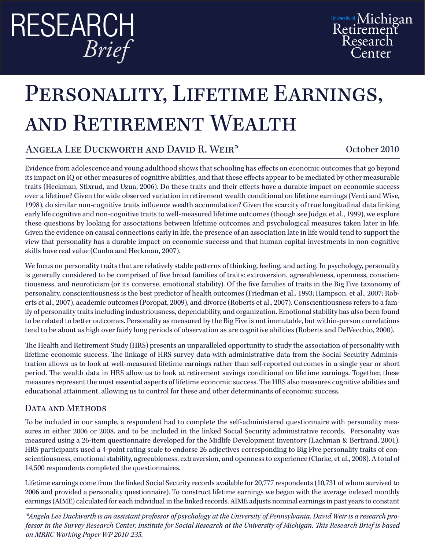# ReseaRch *Brief*

# PERSONALITY, LIFETIME EARNINGS, and Retirement Wealth

## Angela Lee Duckworth and David R. Weir\* October 2010

Evidence from adolescence and young adulthood shows that schooling has effects on economic outcomes that go beyond its impact on IQ or other measures of cognitive abilities, and that these effects appear to be mediated by other measurable traits (Heckman, Stixrud, and Uzua, 2006). Do these traits and their effects have a durable impact on economic success over a lifetime? Given the wide observed variation in retirement wealth conditional on lifetime earnings (Venti and Wise, 1998), do similar non-cognitive traits influence wealth accumulation? Given the scarcity of true longitudinal data linking early life cognitive and non-cognitive traits to well-measured lifetime outcomes (though see Judge, et al., 1999), we explore these questions by looking for associations between lifetime outcomes and psychological measures taken later in life. Given the evidence on causal connections early in life, the presence of an association late in life would tend to support the view that personality has a durable impact on economic success and that human capital investments in non-cognitive skills have real value (Cunha and Heckman, 2007).

We focus on personality traits that are relatively stable patterns of thinking, feeling, and acting. In psychology, personality is generally considered to be comprised of five broad families of traits: extroversion, agreeableness, openness, conscientiousness, and neuroticism (or its converse, emotional stability). Of the five families of traits in the Big Five taxonomy of personality, conscientiousness is the best predictor of health outcomes (Friedman et al., 1993; Hampson, et al., 2007; Roberts et al., 2007), academic outcomes (Poropat, 2009), and divorce (Roberts et al., 2007). Conscientiousness refers to a family of personality traits including industriousness, dependability, and organization. Emotional stability has also been found to be related to better outcomes. Personality as measured by the Big Five is not immutable, but within-person correlations tend to be about as high over fairly long periods of observation as are cognitive abilities (Roberts and DelVecchio, 2000).

The Health and Retirement Study (HRS) presents an unparalleled opportunity to study the association of personality with lifetime economic success. The linkage of HRS survey data with administrative data from the Social Security Administration allows us to look at well-measured lifetime earnings rather than self-reported outcomes in a single year or short period. The wealth data in HRS allow us to look at retirement savings conditional on lifetime earnings. Together, these measures represent the most essential aspects of lifetime economic success. The HRS also measures cognitive abilities and educational attainment, allowing us to control for these and other determinants of economic success.

### DATA AND METHODS

To be included in our sample, a respondent had to complete the self-administered questionnaire with personality measures in either 2006 or 2008, and to be included in the linked Social Security administrative records. Personality was measured using a 26-item questionnaire developed for the Midlife Development Inventory (Lachman & Bertrand, 2001). HRS participants used a 4-point rating scale to endorse 26 adjectives corresponding to Big Five personality traits of conscientiousness, emotional stability, agreeableness, extraversion, and openness to experience (Clarke, et al., 2008). A total of 14,500 respondents completed the questionnaires.

Lifetime earnings come from the linked Social Security records available for 20,777 respondents (10,731 of whom survived to 2006 and provided a personality questionnaire). To construct lifetime earnings we began with the average indexed monthly earnings (AIME) calculated for each individual in the linked records. AIME adjusts nominal earnings in past years to constant

*\*Angela Lee Duckworth is an assistant professor of psychology at the University of Pennsylvania. David Weir is a research professor in the Survey Research Center, Institute for Social Research at the University of Michigan. This Research Brief is based on MRRC Working Paper WP 2010-235.*